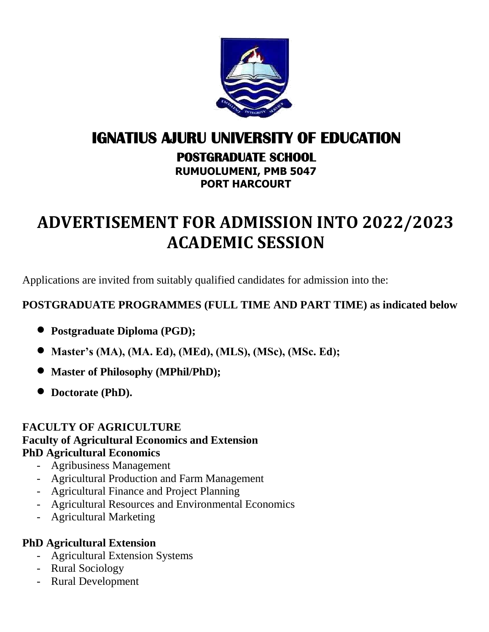

# **IGNATIUS AJURU UNIVERSITY OF EDUCATION**

**POSTGRADUATE SCHOOL** 

**RUMUOLUMENI, PMB 5047 PORT HARCOURT**

# **ADVERTISEMENT FOR ADMISSION INTO 2022/2023 ACADEMIC SESSION**

Applications are invited from suitably qualified candidates for admission into the:

### **POSTGRADUATE PROGRAMMES (FULL TIME AND PART TIME) as indicated below**

- **Postgraduate Diploma (PGD);**
- **Master's (MA), (MA. Ed), (MEd), (MLS), (MSc), (MSc. Ed);**
- **Master of Philosophy (MPhil/PhD);**
- **Doctorate (PhD).**

### **FACULTY OF AGRICULTURE Faculty of Agricultural Economics and Extension PhD Agricultural Economics**

- Agribusiness Management
- Agricultural Production and Farm Management
- Agricultural Finance and Project Planning
- Agricultural Resources and Environmental Economics
- Agricultural Marketing

### **PhD Agricultural Extension**

- Agricultural Extension Systems
- Rural Sociology
- Rural Development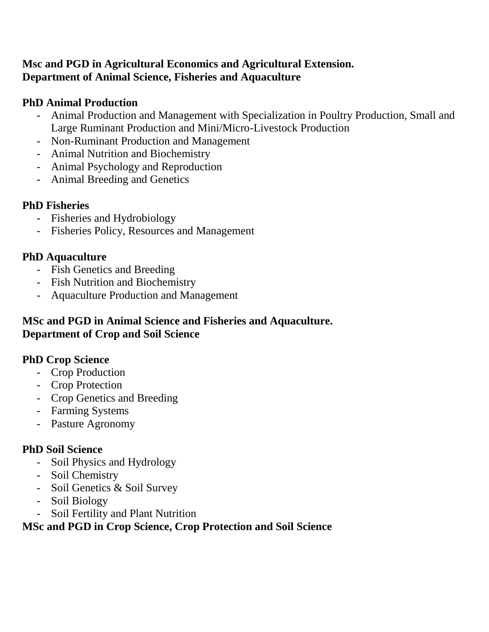### **Msc and PGD in Agricultural Economics and Agricultural Extension. Department of Animal Science, Fisheries and Aquaculture**

### **PhD Animal Production**

- Animal Production and Management with Specialization in Poultry Production, Small and Large Ruminant Production and Mini/Micro-Livestock Production
- Non-Ruminant Production and Management
- Animal Nutrition and Biochemistry
- Animal Psychology and Reproduction
- Animal Breeding and Genetics

### **PhD Fisheries**

- Fisheries and Hydrobiology
- Fisheries Policy, Resources and Management

### **PhD Aquaculture**

- Fish Genetics and Breeding
- Fish Nutrition and Biochemistry
- Aquaculture Production and Management

### **MSc and PGD in Animal Science and Fisheries and Aquaculture. Department of Crop and Soil Science**

### **PhD Crop Science**

- Crop Production
- Crop Protection
- Crop Genetics and Breeding
- Farming Systems
- Pasture Agronomy

### **PhD Soil Science**

- Soil Physics and Hydrology
- Soil Chemistry
- Soil Genetics & Soil Survey
- Soil Biology
- Soil Fertility and Plant Nutrition

### **MSc and PGD in Crop Science, Crop Protection and Soil Science**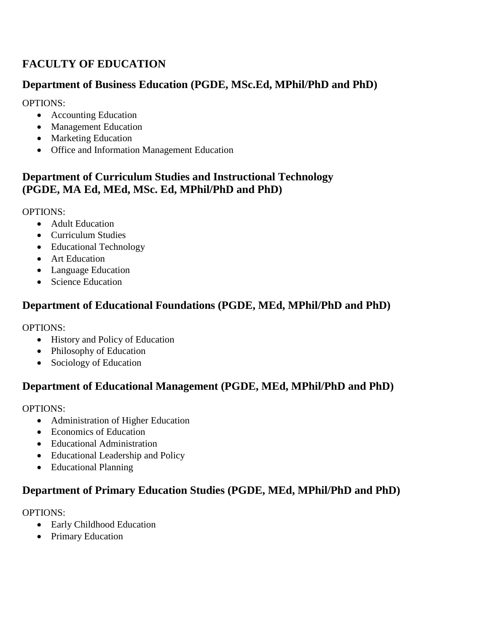### **FACULTY OF EDUCATION**

### **Department of Business Education (PGDE, MSc.Ed, MPhil/PhD and PhD)**

OPTIONS:

- Accounting Education
- Management Education
- Marketing Education
- Office and Information Management Education

### **Department of Curriculum Studies and Instructional Technology (PGDE, MA Ed, MEd, MSc. Ed, MPhil/PhD and PhD)**

OPTIONS:

- Adult Education
- Curriculum Studies
- Educational Technology
- Art Education
- Language Education
- Science Education

### **Department of Educational Foundations (PGDE, MEd, MPhil/PhD and PhD)**

OPTIONS:

- History and Policy of Education
- Philosophy of Education
- Sociology of Education

### **Department of Educational Management (PGDE, MEd, MPhil/PhD and PhD)**

OPTIONS:

- Administration of Higher Education
- Economics of Education
- Educational Administration
- Educational Leadership and Policy
- Educational Planning

### **Department of Primary Education Studies (PGDE, MEd, MPhil/PhD and PhD)**

- Early Childhood Education
- Primary Education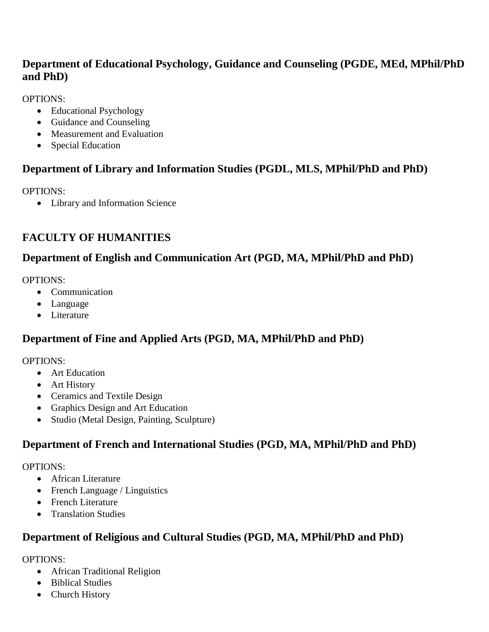### **Department of Educational Psychology, Guidance and Counseling (PGDE, MEd, MPhil/PhD and PhD)**

OPTIONS:

- Educational Psychology
- Guidance and Counseling
- Measurement and Evaluation
- Special Education

### **Department of Library and Information Studies (PGDL, MLS, MPhil/PhD and PhD)**

OPTIONS:

Library and Information Science

### **FACULTY OF HUMANITIES**

### **Department of English and Communication Art (PGD, MA, MPhil/PhD and PhD)**

OPTIONS:

- Communication
- Language
- Literature

### **Department of Fine and Applied Arts (PGD, MA, MPhil/PhD and PhD)**

OPTIONS:

- Art Education
- Art History
- Ceramics and Textile Design
- Graphics Design and Art Education
- Studio (Metal Design, Painting, Sculpture)

### **Department of French and International Studies (PGD, MA, MPhil/PhD and PhD)**

OPTIONS:

- African Literature
- French Language / Linguistics
- French Literature
- Translation Studies

### **Department of Religious and Cultural Studies (PGD, MA, MPhil/PhD and PhD)**

- African Traditional Religion
- Biblical Studies
- Church History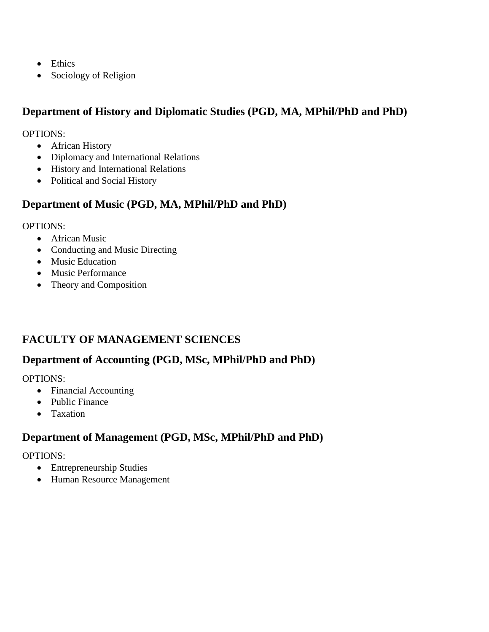- Ethics
- Sociology of Religion

#### **Department of History and Diplomatic Studies (PGD, MA, MPhil/PhD and PhD)**

OPTIONS:

- African History
- Diplomacy and International Relations
- History and International Relations
- Political and Social History

### **Department of Music (PGD, MA, MPhil/PhD and PhD)**

#### OPTIONS:

- African Music
- Conducting and Music Directing
- Music Education
- Music Performance
- Theory and Composition

### **FACULTY OF MANAGEMENT SCIENCES**

### **Department of Accounting (PGD, MSc, MPhil/PhD and PhD)**

OPTIONS:

- Financial Accounting
- Public Finance
- Taxation

### **Department of Management (PGD, MSc, MPhil/PhD and PhD)**

- Entrepreneurship Studies
- Human Resource Management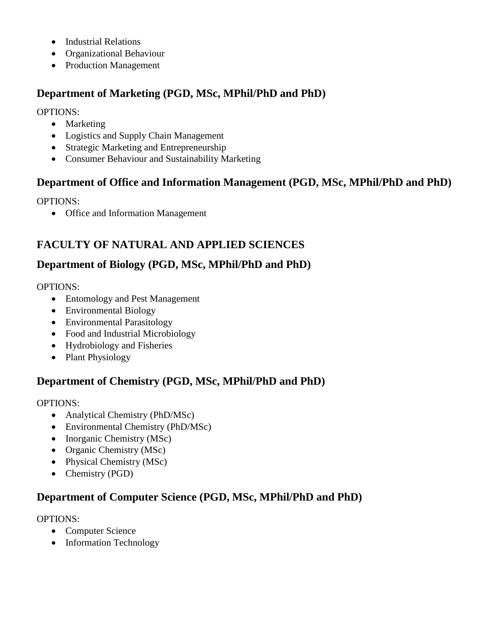- Industrial Relations
- Organizational Behaviour
- Production Management

### **Department of Marketing (PGD, MSc, MPhil/PhD and PhD)**

OPTIONS:

- Marketing
- Logistics and Supply Chain Management
- Strategic Marketing and Entrepreneurship
- Consumer Behaviour and Sustainability Marketing

### **Department of Office and Information Management (PGD, MSc, MPhil/PhD and PhD)**

OPTIONS:

• Office and Information Management

### **FACULTY OF NATURAL AND APPLIED SCIENCES**

### **Department of Biology (PGD, MSc, MPhil/PhD and PhD)**

OPTIONS:

- Entomology and Pest Management
- Environmental Biology
- Environmental Parasitology
- Food and Industrial Microbiology
- Hydrobiology and Fisheries
- Plant Physiology

### **Department of Chemistry (PGD, MSc, MPhil/PhD and PhD)**

OPTIONS:

- Analytical Chemistry (PhD/MSc)
- Environmental Chemistry (PhD/MSc)
- Inorganic Chemistry (MSc)
- Organic Chemistry (MSc)
- Physical Chemistry (MSc)
- Chemistry (PGD)

### **Department of Computer Science (PGD, MSc, MPhil/PhD and PhD)**

- Computer Science
- Information Technology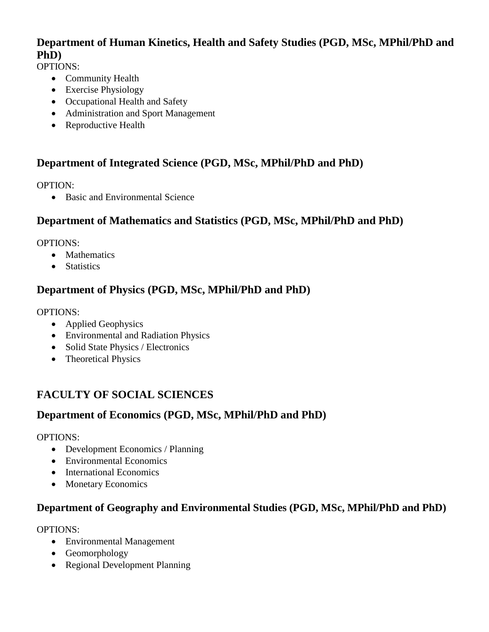### **Department of Human Kinetics, Health and Safety Studies (PGD, MSc, MPhil/PhD and PhD)**

OPTIONS:

- Community Health
- Exercise Physiology
- Occupational Health and Safety
- Administration and Sport Management
- Reproductive Health

### **Department of Integrated Science (PGD, MSc, MPhil/PhD and PhD)**

OPTION:

• Basic and Environmental Science

### **Department of Mathematics and Statistics (PGD, MSc, MPhil/PhD and PhD)**

OPTIONS:

- Mathematics
- Statistics

### **Department of Physics (PGD, MSc, MPhil/PhD and PhD)**

#### OPTIONS:

- Applied Geophysics
- Environmental and Radiation Physics
- Solid State Physics / Electronics
- Theoretical Physics

### **FACULTY OF SOCIAL SCIENCES**

#### **Department of Economics (PGD, MSc, MPhil/PhD and PhD)**

OPTIONS:

- Development Economics / Planning
- Environmental Economics
- International Economics
- Monetary Economics

#### **Department of Geography and Environmental Studies (PGD, MSc, MPhil/PhD and PhD)**

- Environmental Management
- Geomorphology
- Regional Development Planning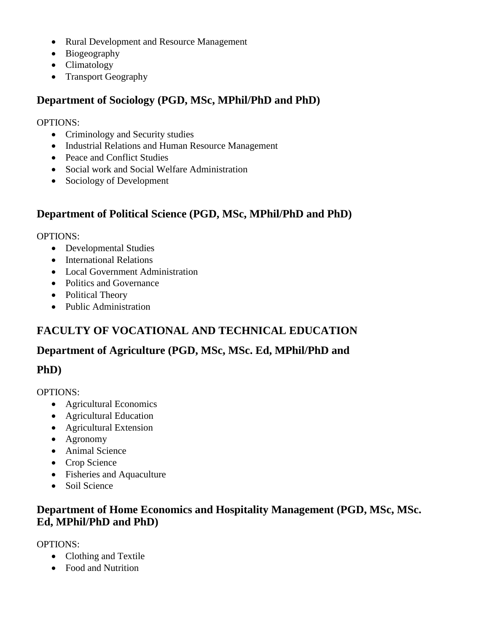- Rural Development and Resource Management
- Biogeography
- Climatology
- Transport Geography

### **Department of Sociology (PGD, MSc, MPhil/PhD and PhD)**

OPTIONS:

- Criminology and Security studies
- Industrial Relations and Human Resource Management
- Peace and Conflict Studies
- Social work and Social Welfare Administration
- Sociology of Development

### **Department of Political Science (PGD, MSc, MPhil/PhD and PhD)**

OPTIONS:

- Developmental Studies
- International Relations
- Local Government Administration
- Politics and Governance
- Political Theory
- Public Administration

### **FACULTY OF VOCATIONAL AND TECHNICAL EDUCATION**

### **Department of Agriculture (PGD, MSc, MSc. Ed, MPhil/PhD and**

### **PhD)**

OPTIONS:

- Agricultural Economics
- Agricultural Education
- Agricultural Extension
- Agronomy
- Animal Science
- Crop Science
- Fisheries and Aquaculture
- Soil Science

### **Department of Home Economics and Hospitality Management (PGD, MSc, MSc. Ed, MPhil/PhD and PhD)**

- Clothing and Textile
- Food and Nutrition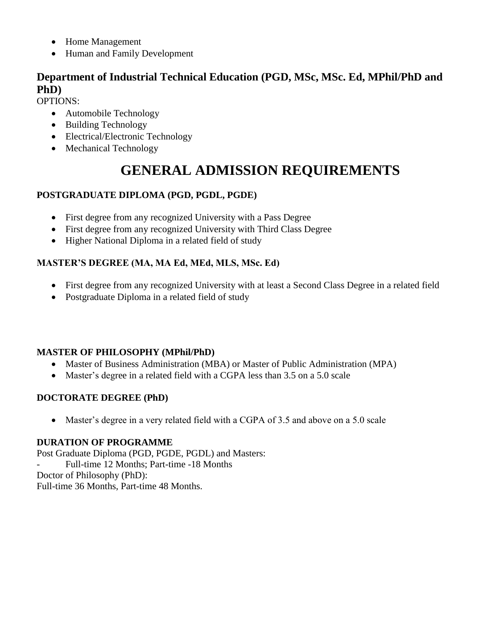- Home Management
- Human and Family Development

### **Department of Industrial Technical Education (PGD, MSc, MSc. Ed, MPhil/PhD and PhD)**

OPTIONS:

- Automobile Technology
- Building Technology
- Electrical/Electronic Technology
- Mechanical Technology

## **GENERAL ADMISSION REQUIREMENTS**

#### **POSTGRADUATE DIPLOMA (PGD, PGDL, PGDE)**

- First degree from any recognized University with a Pass Degree
- First degree from any recognized University with Third Class Degree
- Higher National Diploma in a related field of study

### **MASTER'S DEGREE (MA, MA Ed, MEd, MLS, MSc. Ed)**

- First degree from any recognized University with at least a Second Class Degree in a related field
- Postgraduate Diploma in a related field of study

#### **MASTER OF PHILOSOPHY (MPhil/PhD)**

- Master of Business Administration (MBA) or Master of Public Administration (MPA)
- Master's degree in a related field with a CGPA less than 3.5 on a 5.0 scale

#### **DOCTORATE DEGREE (PhD)**

• Master's degree in a very related field with a CGPA of 3.5 and above on a 5.0 scale

#### **DURATION OF PROGRAMME**

Post Graduate Diploma (PGD, PGDE, PGDL) and Masters: - Full-time 12 Months; Part-time -18 Months Doctor of Philosophy (PhD): Full-time 36 Months, Part-time 48 Months.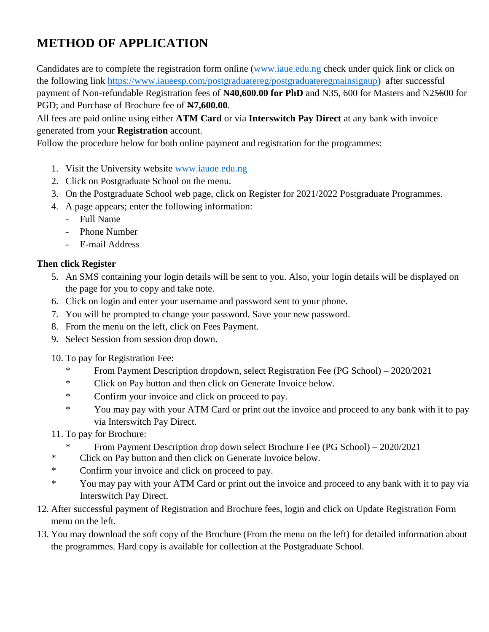## **METHOD OF APPLICATION**

Candidates are to complete the registration form online [\(www.iaue.edu.ng](http://www.iaue.edu.ng/) check under quick link or click on the following link [https://www.iaueesp.com/postgraduatereg/postgraduateregmainsignup\)](https://www.iaueesp.com/postgraduatereg/postgraduateregmainsignup) after successful payment of Non-refundable Registration fees of **N40,600.00 for PhD** and N35, 600 for Masters and N25600 for PGD; and Purchase of Brochure fee of **N7,600.00**.

All fees are paid online using either **ATM Card** or via **Interswitch Pay Direct** at any bank with invoice generated from your **Registration** account.

Follow the procedure below for both online payment and registration for the programmes:

- 1. Visit the University website [www.iauoe.edu.ng](http://www.iauoe.edu.ng/)
- 2. Click on Postgraduate School on the menu.
- 3. On the Postgraduate School web page, click on Register for 2021/2022 Postgraduate Programmes.
- 4. A page appears; enter the following information:
	- Full Name
	- Phone Number
	- E-mail Address

#### **Then click Register**

- 5. An SMS containing your login details will be sent to you. Also, your login details will be displayed on the page for you to copy and take note.
- 6. Click on login and enter your username and password sent to your phone.
- 7. You will be prompted to change your password. Save your new password.
- 8. From the menu on the left, click on Fees Payment.
- 9. Select Session from session drop down.
- 10. To pay for Registration Fee:
	- \* From Payment Description dropdown, select Registration Fee (PG School) 2020/2021
	- \* Click on Pay button and then click on Generate Invoice below.
	- \* Confirm your invoice and click on proceed to pay.
	- \* You may pay with your ATM Card or print out the invoice and proceed to any bank with it to pay via Interswitch Pay Direct.
- 11. To pay for Brochure:
	- From Payment Description drop down select Brochure Fee (PG School) 2020/2021
- \* Click on Pay button and then click on Generate Invoice below.
- \* Confirm your invoice and click on proceed to pay.
- \* You may pay with your ATM Card or print out the invoice and proceed to any bank with it to pay via Interswitch Pay Direct.
- 12. After successful payment of Registration and Brochure fees, login and click on Update Registration Form menu on the left.
- 13. You may download the soft copy of the Brochure (From the menu on the left) for detailed information about the programmes. Hard copy is available for collection at the Postgraduate School.